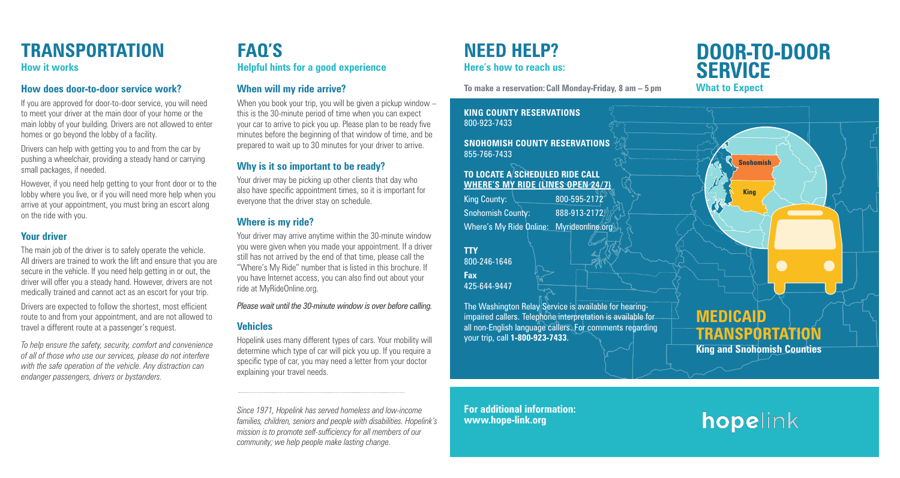# **Door-to-door SERVICE**<br>What to Expect

If you are approved for door-to-door service, you will need to meet your driver at the main door of your home or the main lobby of your building. Drivers are not allowed to enter homes or go beyond the lobby of a facility.

Drivers can help with getting you to and from the car by pushing a wheelchair, providing a steady hand or carrying small packages, if needed.

However, if you need help getting to your front door or to the lobby where you live, or if you will need more help when you arrive at your appointment, you must bring an escort along on the ride with you.

### **Your driver**

The main job of the driver is to safely operate the vehicle. All drivers are trained to work the lift and ensure that you are secure in the vehicle. If you need help getting in or out, the driver will offer you a steady hand. However, drivers are not medically trained and cannot act as an escort for your trip.

When you book your trip, you will be given a pickup window – this is the 30-minute period of time when you can expect your car to arrive to pick you up. Please plan to be ready five minutes before the beginning of that window of time, and be prepared to wait up to 30 minutes for your driver to arrive.

Your driver may be picking up other clients that day who also have specific appointment times, so it is important for everyone that the driver stay on schedule.

Drivers are expected to follow the shortest, most efficient route to and from your appointment, and are not allowed to travel a different route at a passenger's request.

*To help ensure the safety, security, comfort and convenience of all of those who use our services, please do not interfere with the safe operation of the vehicle. Any distraction can endanger passengers, drivers or bystanders.*

### **When will my ride arrive?**

**King County:**  $\sqrt{800-595-2172}$ Snohomish County: 888-913-2172

Where's My Ride Online: Myrideonline.org

The Washington Relay Service is available for hearingimpaired callers. Telephone interpretation is available for all non-English language callers. For comments regarding your trip, call **1-800-923-7433**.

### **Why is it so important to be ready?**

### **Where is my ride?**

Your driver may arrive anytime within the 30-minute window you were given when you made your appointment. If a driver still has not arrived by the end of that time, please call the "Where's My Ride" number that is listed in this brochure. If you have Internet access, you can also find out about your ride at MyRideOnline.org.

*Please wait until the 30-minute window is over before calling.* 

### **Vehicles**

Hopelink uses many different types of cars. Your mobility will determine which type of car will pick you up. If you require a specific type of car, you may need a letter from your doctor explaining your travel needs.

*Since 1971, Hopelink has served homeless and low-income families, children, seniors and people with disabilities. Hopelink's mission is to promote self-sufficiency for all members of our community; we help people make lasting change.*

# **Need help? Here's how to reach us:**



How does door-to-door service work? **When will my ride arrive?** To make a reservation: Call Monday-Friday, 8 am – 5 pm **What to Expect** 

**King County Reservations** 800-923-7433

**Snohomish County Reservations** 855-766-7433

### **To locate a scheduled ride Call Where's My ride (lines open 24/7)**

**TTY** 800-246-1646

**Fax** 425-644-9447

**For additional information: www.hope-link.org**

## **Transportation How it works**

# **FAQ's Helpful hints for a good experience**



# hopelink